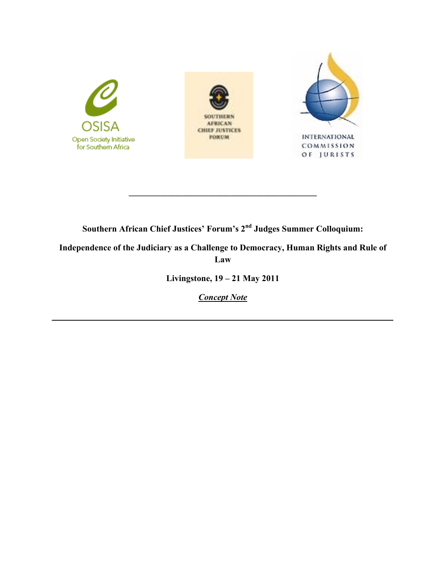

**Southern African Chief Justices' Forum's 2nd Judges Summer Colloquium:**

**\_\_\_\_\_\_\_\_\_\_\_\_\_\_\_\_\_\_\_\_\_\_\_\_\_\_\_\_\_\_\_\_\_\_\_\_\_\_\_\_\_\_\_**

**Independence of the Judiciary as a Challenge to Democracy, Human Rights and Rule of Law**

**Livingstone, 19 – 21 May 2011**

*Concept Note* 

*\_\_\_\_\_\_\_\_\_\_\_\_\_\_\_\_\_\_\_\_\_\_\_\_\_\_\_\_\_\_\_\_\_\_\_\_\_\_\_\_\_\_\_\_\_\_\_\_\_\_\_\_\_\_\_\_\_\_\_\_\_\_\_\_\_\_\_\_\_\_\_\_\_\_\_\_\_\_*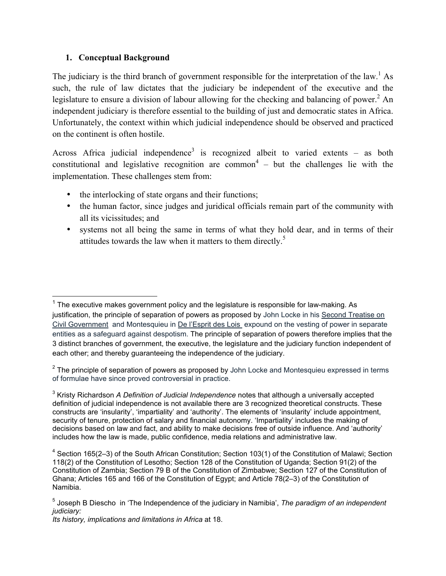# **1. Conceptual Background**

The judiciary is the third branch of government responsible for the interpretation of the law.<sup>1</sup> As such, the rule of law dictates that the judiciary be independent of the executive and the legislature to ensure a division of labour allowing for the checking and balancing of power.<sup>2</sup> An independent judiciary is therefore essential to the building of just and democratic states in Africa. Unfortunately, the context within which judicial independence should be observed and practiced on the continent is often hostile.

Across Africa judicial independence<sup>3</sup> is recognized albeit to varied extents – as both constitutional and legislative recognition are common<sup>4</sup> – but the challenges lie with the implementation. These challenges stem from:

- the interlocking of state organs and their functions;
- the human factor, since judges and juridical officials remain part of the community with all its vicissitudes; and
- systems not all being the same in terms of what they hold dear, and in terms of their attitudes towards the law when it matters to them directly.<sup>5</sup>

 <sup>1</sup> The executive makes government policy and the legislature is responsible for law-making. As justification, the principle of separation of powers as proposed by John Locke in his Second Treatise on Civil Government and Montesquieu in De l'Esprit des Lois expound on the vesting of power in separate entities as a safeguard against despotism. The principle of separation of powers therefore implies that the 3 distinct branches of government, the executive, the legislature and the judiciary function independent of each other; and thereby guaranteeing the independence of the judiciary.

 $2$  The principle of separation of powers as proposed by John Locke and Montesquieu expressed in terms of formulae have since proved controversial in practice.

<sup>3</sup> Kristy Richardson *A Definition of Judicial Independence* notes that although a universally accepted definition of judicial independence is not available there are 3 recognized theoretical constructs. These constructs are 'insularity', 'impartiality' and 'authority'. The elements of 'insularity' include appointment, security of tenure, protection of salary and financial autonomy. 'Impartiality' includes the making of decisions based on law and fact, and ability to make decisions free of outside influence. And 'authority' includes how the law is made, public confidence, media relations and administrative law.

<sup>&</sup>lt;sup>4</sup> Section 165(2–3) of the South African Constitution; Section 103(1) of the Constitution of Malawi; Section 118(2) of the Constitution of Lesotho; Section 128 of the Constitution of Uganda; Section 91(2) of the Constitution of Zambia; Section 79 B of the Constitution of Zimbabwe; Section 127 of the Constitution of Ghana; Articles 165 and 166 of the Constitution of Egypt; and Article 78(2–3) of the Constitution of Namibia.

<sup>5</sup> Joseph B Diescho in 'The Independence of the judiciary in Namibia', *The paradigm of an independent judiciary:* 

*Its history, implications and limitations in Africa* at 18.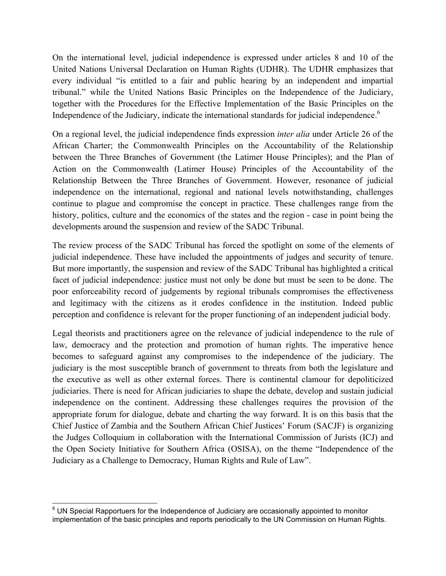On the international level, judicial independence is expressed under articles 8 and 10 of the United Nations Universal Declaration on Human Rights (UDHR). The UDHR emphasizes that every individual "is entitled to a fair and public hearing by an independent and impartial tribunal." while the United Nations Basic Principles on the Independence of the Judiciary, together with the Procedures for the Effective Implementation of the Basic Principles on the Independence of the Judiciary, indicate the international standards for judicial independence.<sup>6</sup>

On a regional level, the judicial independence finds expression *inter alia* under Article 26 of the African Charter; the Commonwealth Principles on the Accountability of the Relationship between the Three Branches of Government (the Latimer House Principles); and the Plan of Action on the Commonwealth (Latimer House) Principles of the Accountability of the Relationship Between the Three Branches of Government. However, resonance of judicial independence on the international, regional and national levels notwithstanding, challenges continue to plague and compromise the concept in practice. These challenges range from the history, politics, culture and the economics of the states and the region - case in point being the developments around the suspension and review of the SADC Tribunal.

The review process of the SADC Tribunal has forced the spotlight on some of the elements of judicial independence. These have included the appointments of judges and security of tenure. But more importantly, the suspension and review of the SADC Tribunal has highlighted a critical facet of judicial independence: justice must not only be done but must be seen to be done. The poor enforceability record of judgements by regional tribunals compromises the effectiveness and legitimacy with the citizens as it erodes confidence in the institution. Indeed public perception and confidence is relevant for the proper functioning of an independent judicial body.

Legal theorists and practitioners agree on the relevance of judicial independence to the rule of law, democracy and the protection and promotion of human rights. The imperative hence becomes to safeguard against any compromises to the independence of the judiciary. The judiciary is the most susceptible branch of government to threats from both the legislature and the executive as well as other external forces. There is continental clamour for depoliticized judiciaries. There is need for African judiciaries to shape the debate, develop and sustain judicial independence on the continent. Addressing these challenges requires the provision of the appropriate forum for dialogue, debate and charting the way forward. It is on this basis that the Chief Justice of Zambia and the Southern African Chief Justices' Forum (SACJF) is organizing the Judges Colloquium in collaboration with the International Commission of Jurists (ICJ) and the Open Society Initiative for Southern Africa (OSISA), on the theme "Independence of the Judiciary as a Challenge to Democracy, Human Rights and Rule of Law".

<sup>————————————————————&</sup>lt;br><sup>6</sup> UN Special Rapportuers for the Independence of Judiciary are occasionally appointed to monitor implementation of the basic principles and reports periodically to the UN Commission on Human Rights.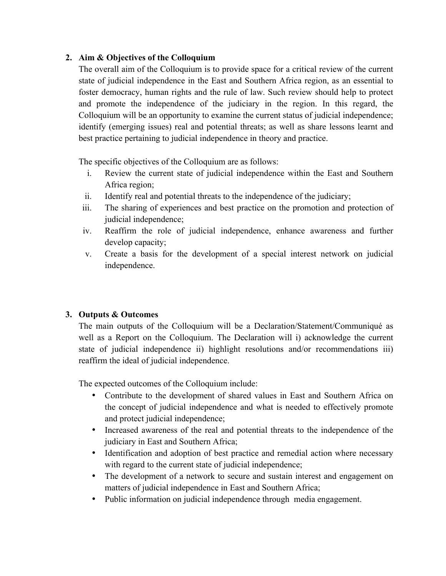# **2. Aim & Objectives of the Colloquium**

The overall aim of the Colloquium is to provide space for a critical review of the current state of judicial independence in the East and Southern Africa region, as an essential to foster democracy, human rights and the rule of law. Such review should help to protect and promote the independence of the judiciary in the region. In this regard, the Colloquium will be an opportunity to examine the current status of judicial independence; identify (emerging issues) real and potential threats; as well as share lessons learnt and best practice pertaining to judicial independence in theory and practice.

The specific objectives of the Colloquium are as follows:

- i. Review the current state of judicial independence within the East and Southern Africa region;
- ii. Identify real and potential threats to the independence of the judiciary;
- iii. The sharing of experiences and best practice on the promotion and protection of judicial independence;
- iv. Reaffirm the role of judicial independence, enhance awareness and further develop capacity;
- v. Create a basis for the development of a special interest network on judicial independence.

# **3. Outputs & Outcomes**

The main outputs of the Colloquium will be a Declaration/Statement/Communiqué as well as a Report on the Colloquium. The Declaration will i) acknowledge the current state of judicial independence ii) highlight resolutions and/or recommendations iii) reaffirm the ideal of judicial independence.

The expected outcomes of the Colloquium include:

- Contribute to the development of shared values in East and Southern Africa on the concept of judicial independence and what is needed to effectively promote and protect judicial independence;
- Increased awareness of the real and potential threats to the independence of the judiciary in East and Southern Africa;
- Identification and adoption of best practice and remedial action where necessary with regard to the current state of judicial independence;
- The development of a network to secure and sustain interest and engagement on matters of judicial independence in East and Southern Africa;
- Public information on judicial independence through media engagement.